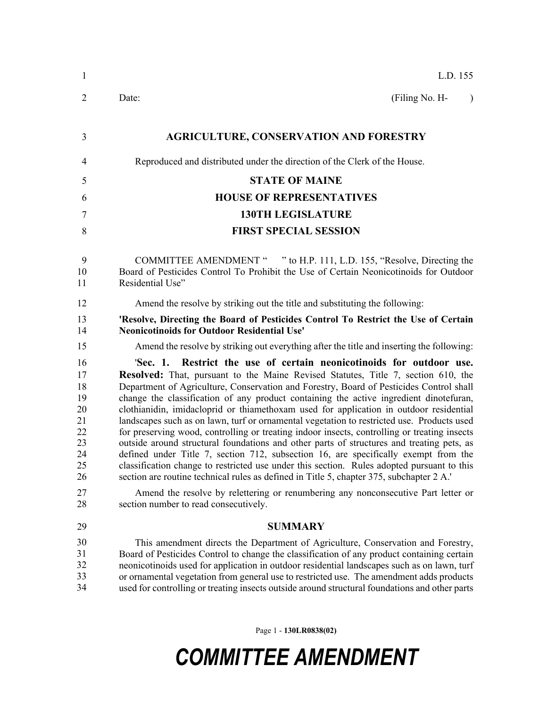| 1                                                                    | L.D. 155                                                                                                                                                                                                                                                                                                                                                                                                                                                                                                                                                                                                                                                                                                                                                                                                                                                                                                                                                                                                                                                                                                         |
|----------------------------------------------------------------------|------------------------------------------------------------------------------------------------------------------------------------------------------------------------------------------------------------------------------------------------------------------------------------------------------------------------------------------------------------------------------------------------------------------------------------------------------------------------------------------------------------------------------------------------------------------------------------------------------------------------------------------------------------------------------------------------------------------------------------------------------------------------------------------------------------------------------------------------------------------------------------------------------------------------------------------------------------------------------------------------------------------------------------------------------------------------------------------------------------------|
| $\overline{2}$                                                       | Date:<br>(Filing No. H-<br>$\lambda$                                                                                                                                                                                                                                                                                                                                                                                                                                                                                                                                                                                                                                                                                                                                                                                                                                                                                                                                                                                                                                                                             |
| 3                                                                    | <b>AGRICULTURE, CONSERVATION AND FORESTRY</b>                                                                                                                                                                                                                                                                                                                                                                                                                                                                                                                                                                                                                                                                                                                                                                                                                                                                                                                                                                                                                                                                    |
| 4                                                                    | Reproduced and distributed under the direction of the Clerk of the House.                                                                                                                                                                                                                                                                                                                                                                                                                                                                                                                                                                                                                                                                                                                                                                                                                                                                                                                                                                                                                                        |
| 5                                                                    | <b>STATE OF MAINE</b>                                                                                                                                                                                                                                                                                                                                                                                                                                                                                                                                                                                                                                                                                                                                                                                                                                                                                                                                                                                                                                                                                            |
| 6                                                                    | <b>HOUSE OF REPRESENTATIVES</b>                                                                                                                                                                                                                                                                                                                                                                                                                                                                                                                                                                                                                                                                                                                                                                                                                                                                                                                                                                                                                                                                                  |
| 7                                                                    | <b>130TH LEGISLATURE</b>                                                                                                                                                                                                                                                                                                                                                                                                                                                                                                                                                                                                                                                                                                                                                                                                                                                                                                                                                                                                                                                                                         |
| 8                                                                    | <b>FIRST SPECIAL SESSION</b>                                                                                                                                                                                                                                                                                                                                                                                                                                                                                                                                                                                                                                                                                                                                                                                                                                                                                                                                                                                                                                                                                     |
| 9<br>10<br>11                                                        | COMMITTEE AMENDMENT " " to H.P. 111, L.D. 155, "Resolve, Directing the<br>Board of Pesticides Control To Prohibit the Use of Certain Neonicotinoids for Outdoor<br>Residential Use"                                                                                                                                                                                                                                                                                                                                                                                                                                                                                                                                                                                                                                                                                                                                                                                                                                                                                                                              |
| 12                                                                   | Amend the resolve by striking out the title and substituting the following:                                                                                                                                                                                                                                                                                                                                                                                                                                                                                                                                                                                                                                                                                                                                                                                                                                                                                                                                                                                                                                      |
| 13<br>14                                                             | 'Resolve, Directing the Board of Pesticides Control To Restrict the Use of Certain<br><b>Neonicotinoids for Outdoor Residential Use'</b>                                                                                                                                                                                                                                                                                                                                                                                                                                                                                                                                                                                                                                                                                                                                                                                                                                                                                                                                                                         |
| 15                                                                   | Amend the resolve by striking out everything after the title and inserting the following:                                                                                                                                                                                                                                                                                                                                                                                                                                                                                                                                                                                                                                                                                                                                                                                                                                                                                                                                                                                                                        |
| 16<br>17<br>18<br>19<br>20<br>21<br>22<br>23<br>24<br>25<br>26<br>27 | 'Sec. 1. Restrict the use of certain neonicotinoids for outdoor use.<br><b>Resolved:</b> That, pursuant to the Maine Revised Statutes, Title 7, section 610, the<br>Department of Agriculture, Conservation and Forestry, Board of Pesticides Control shall<br>change the classification of any product containing the active ingredient dinotefuran,<br>clothianidin, imidacloprid or thiamethoxam used for application in outdoor residential<br>landscapes such as on lawn, turf or ornamental vegetation to restricted use. Products used<br>for preserving wood, controlling or treating indoor insects, controlling or treating insects<br>outside around structural foundations and other parts of structures and treating pets, as<br>defined under Title 7, section 712, subsection 16, are specifically exempt from the<br>classification change to restricted use under this section. Rules adopted pursuant to this<br>section are routine technical rules as defined in Title 5, chapter 375, subchapter 2 A.'<br>Amend the resolve by relettering or renumbering any nonconsecutive Part letter or |
| 28                                                                   | section number to read consecutively.                                                                                                                                                                                                                                                                                                                                                                                                                                                                                                                                                                                                                                                                                                                                                                                                                                                                                                                                                                                                                                                                            |
| 29                                                                   | <b>SUMMARY</b>                                                                                                                                                                                                                                                                                                                                                                                                                                                                                                                                                                                                                                                                                                                                                                                                                                                                                                                                                                                                                                                                                                   |
| 30<br>31<br>32<br>33<br>34                                           | This amendment directs the Department of Agriculture, Conservation and Forestry,<br>Board of Pesticides Control to change the classification of any product containing certain<br>neonicotinoids used for application in outdoor residential landscapes such as on lawn, turf<br>or ornamental vegetation from general use to restricted use. The amendment adds products<br>used for controlling or treating insects outside around structural foundations and other parts                                                                                                                                                                                                                                                                                                                                                                                                                                                                                                                                                                                                                                      |

Page 1 - **130LR0838(02)**

## *COMMITTEE AMENDMENT*